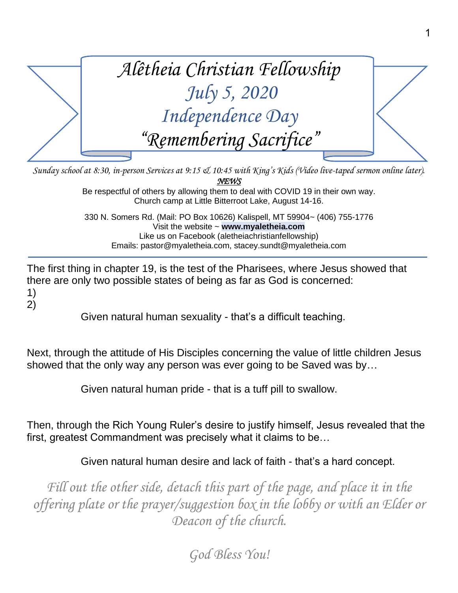

*Sunday school at 8:30, in-person Services at 9:15 & 10:45 with King's Kids (Video live-taped sermon online later). NEWS* 

Be respectful of others by allowing them to deal with COVID 19 in their own way. Church camp at Little Bitterroot Lake, August 14-16.

330 N. Somers Rd. (Mail: PO Box 10626) Kalispell, MT 59904~ (406) 755-1776 Visit the website ~ **www.myaletheia.com** Like us on Facebook (aletheiachristianfellowship) Emails: pastor@myaletheia.com, stacey.sundt@myaletheia.com

The first thing in chapter 19, is the test of the Pharisees, where Jesus showed that there are only two possible states of being as far as God is concerned: 1)

2)

Given natural human sexuality - that's a difficult teaching.

Next, through the attitude of His Disciples concerning the value of little children Jesus showed that the only way any person was ever going to be Saved was by…

Given natural human pride - that is a tuff pill to swallow.

Then, through the Rich Young Ruler's desire to justify himself, Jesus revealed that the first, greatest Commandment was precisely what it claims to be…

Given natural human desire and lack of faith - that's a hard concept.

Fill out the other side, detach this part of the page, and place it in the *offering plate or the prayer/suggestion box in the lobby or with an Elder or Deacon of the church.*

*God Bless You!*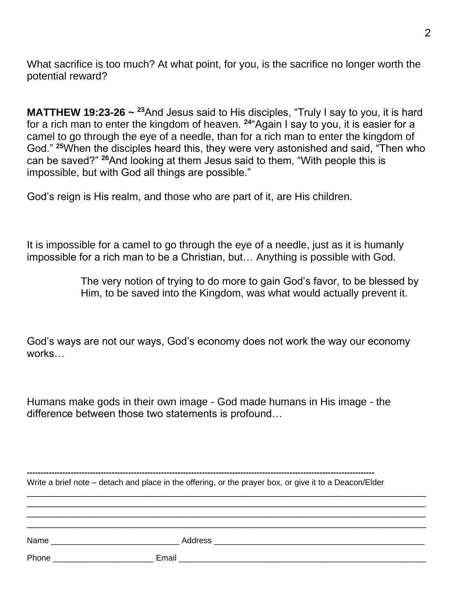What sacrifice is too much? At what point, for you, is the sacrifice no longer worth the potential reward?

**MATTHEW 19:23-26** ~ <sup>23</sup>And Jesus said to His disciples, "Truly I say to you, it is hard for a rich man to enter the kingdom of heaven. **<sup>24</sup>**"Again I say to you, it is easier for a camel to go through the eye of a needle, than for a rich man to enter the kingdom of God." **<sup>25</sup>**When the disciples heard this, they were very astonished and said, "Then who can be saved?" **<sup>26</sup>**And looking at them Jesus said to them, "With people this is impossible, but with God all things are possible."

God's reign is His realm, and those who are part of it, are His children.

It is impossible for a camel to go through the eye of a needle, just as it is humanly impossible for a rich man to be a Christian, but… Anything is possible with God.

> The very notion of trying to do more to gain God's favor, to be blessed by Him, to be saved into the Kingdom, was what would actually prevent it.

God's ways are not our ways, God's economy does not work the way our economy works…

Humans make gods in their own image - God made humans in His image - the difference between those two statements is profound…

| Write a brief note – detach and place in the offering, or the prayer box, or give it to a Deacon/Elder |  |  |
|--------------------------------------------------------------------------------------------------------|--|--|
|                                                                                                        |  |  |
|                                                                                                        |  |  |

**-------------------------------------------------------------------------------------------------------------------------------**

| Name  | <b>Address</b> |
|-------|----------------|
| Phone | Email          |

\_\_\_\_\_\_\_\_\_\_\_\_\_\_\_\_\_\_\_\_\_\_\_\_\_\_\_\_\_\_\_\_\_\_\_\_\_\_\_\_\_\_\_\_\_\_\_\_\_\_\_\_\_\_\_\_\_\_\_\_\_\_\_\_\_\_\_\_\_\_\_\_\_\_\_\_\_\_\_\_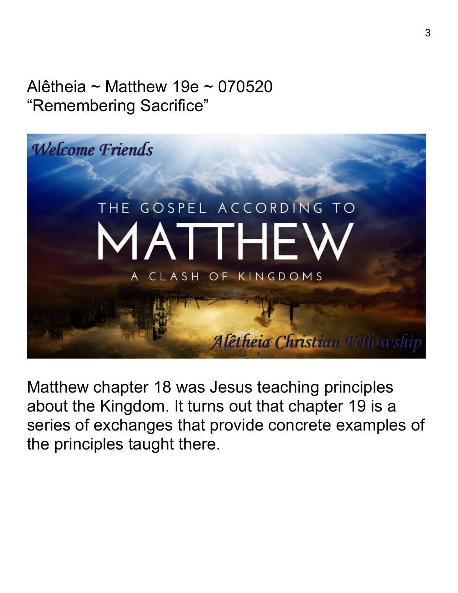## Alêtheia ~ Matthew 19e ~ 070520 "Remembering Sacrifice"



Matthew chapter 18 was Jesus teaching principles about the Kingdom. It turns out that chapter 19 is a series of exchanges that provide concrete examples of the principles taught there.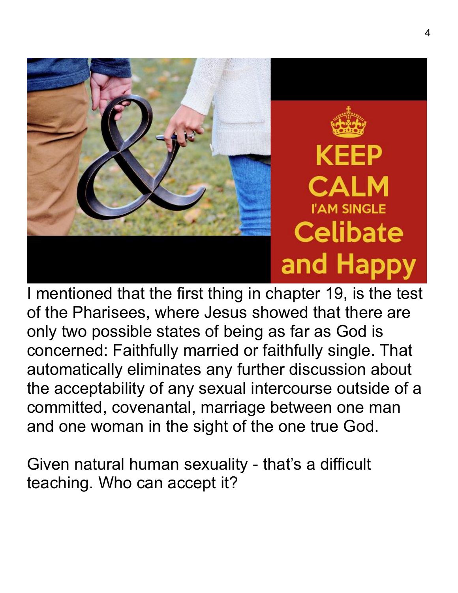

I mentioned that the first thing in chapter 19, is the test of the Pharisees, where Jesus showed that there are only two possible states of being as far as God is concerned: Faithfully married or faithfully single. That automatically eliminates any further discussion about the acceptability of any sexual intercourse outside of a committed, covenantal, marriage between one man and one woman in the sight of the one true God.

Given natural human sexuality - that's a difficult teaching. Who can accept it?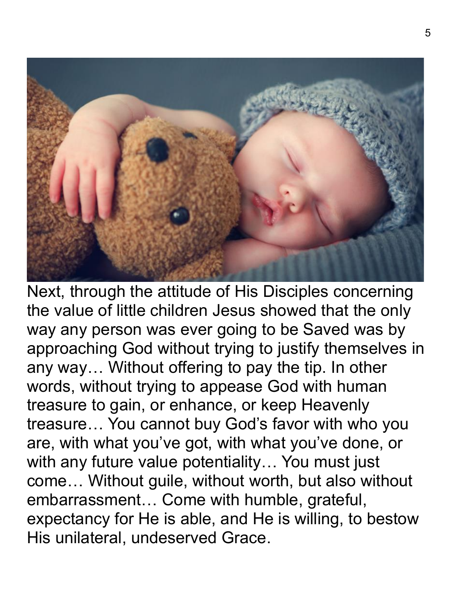

Next, through the attitude of His Disciples concerning the value of little children Jesus showed that the only way any person was ever going to be Saved was by approaching God without trying to justify themselves in any way… Without offering to pay the tip. In other words, without trying to appease God with human treasure to gain, or enhance, or keep Heavenly treasure… You cannot buy God's favor with who you are, with what you've got, with what you've done, or with any future value potentiality… You must just come… Without guile, without worth, but also without embarrassment… Come with humble, grateful, expectancy for He is able, and He is willing, to bestow His unilateral, undeserved Grace.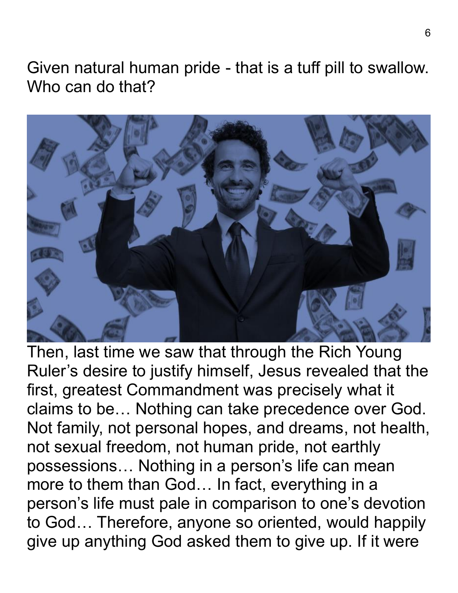Given natural human pride - that is a tuff pill to swallow. Who can do that?



Then, last time we saw that through the Rich Young Ruler's desire to justify himself, Jesus revealed that the first, greatest Commandment was precisely what it claims to be… Nothing can take precedence over God. Not family, not personal hopes, and dreams, not health, not sexual freedom, not human pride, not earthly possessions… Nothing in a person's life can mean more to them than God… In fact, everything in a person's life must pale in comparison to one's devotion to God… Therefore, anyone so oriented, would happily give up anything God asked them to give up. If it were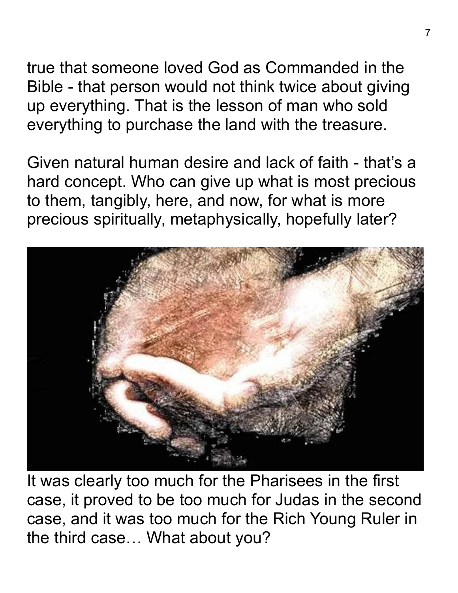true that someone loved God as Commanded in the Bible - that person would not think twice about giving up everything. That is the lesson of man who sold everything to purchase the land with the treasure.

Given natural human desire and lack of faith - that's a hard concept. Who can give up what is most precious to them, tangibly, here, and now, for what is more precious spiritually, metaphysically, hopefully later?



It was clearly too much for the Pharisees in the first case, it proved to be too much for Judas in the second case, and it was too much for the Rich Young Ruler in the third case… What about you?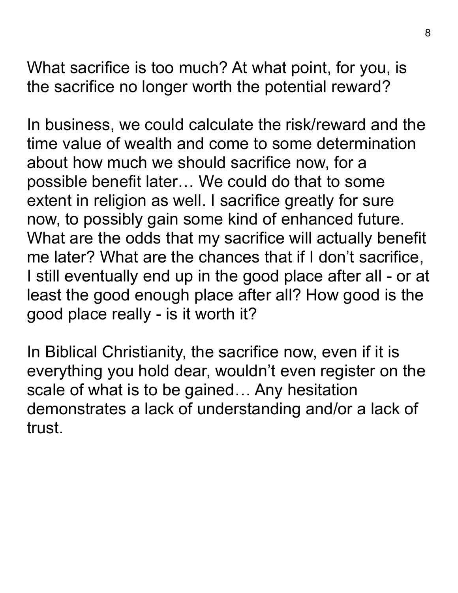What sacrifice is too much? At what point, for you, is the sacrifice no longer worth the potential reward?

In business, we could calculate the risk/reward and the time value of wealth and come to some determination about how much we should sacrifice now, for a possible benefit later… We could do that to some extent in religion as well. I sacrifice greatly for sure now, to possibly gain some kind of enhanced future. What are the odds that my sacrifice will actually benefit me later? What are the chances that if I don't sacrifice, I still eventually end up in the good place after all - or at least the good enough place after all? How good is the good place really - is it worth it?

In Biblical Christianity, the sacrifice now, even if it is everything you hold dear, wouldn't even register on the scale of what is to be gained… Any hesitation demonstrates a lack of understanding and/or a lack of trust.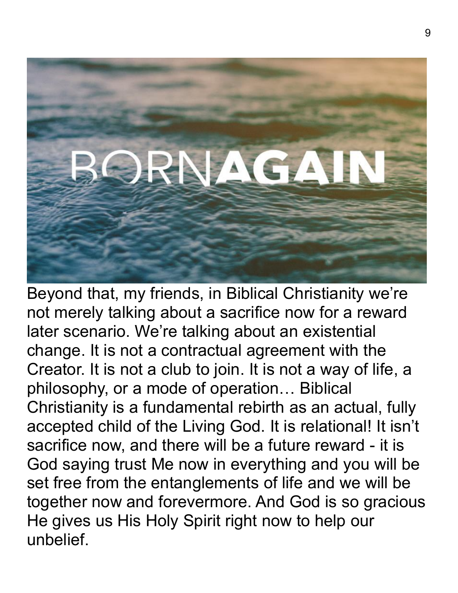

Beyond that, my friends, in Biblical Christianity we're not merely talking about a sacrifice now for a reward later scenario. We're talking about an existential change. It is not a contractual agreement with the Creator. It is not a club to join. It is not a way of life, a philosophy, or a mode of operation… Biblical Christianity is a fundamental rebirth as an actual, fully accepted child of the Living God. It is relational! It isn't sacrifice now, and there will be a future reward - it is God saying trust Me now in everything and you will be set free from the entanglements of life and we will be together now and forevermore. And God is so gracious He gives us His Holy Spirit right now to help our unbelief.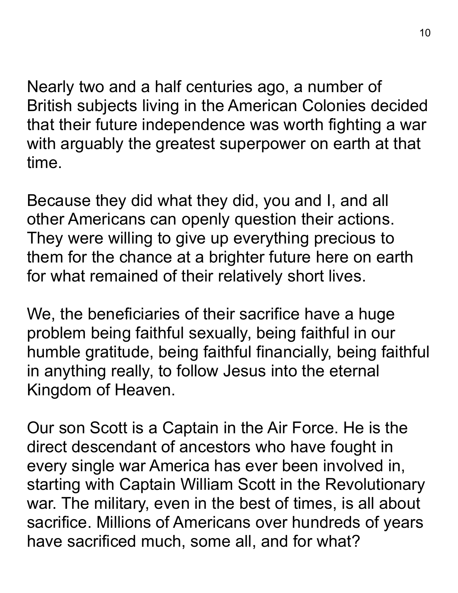Nearly two and a half centuries ago, a number of British subjects living in the American Colonies decided that their future independence was worth fighting a war with arguably the greatest superpower on earth at that time.

Because they did what they did, you and I, and all other Americans can openly question their actions. They were willing to give up everything precious to them for the chance at a brighter future here on earth for what remained of their relatively short lives.

We, the beneficiaries of their sacrifice have a huge problem being faithful sexually, being faithful in our humble gratitude, being faithful financially, being faithful in anything really, to follow Jesus into the eternal Kingdom of Heaven.

Our son Scott is a Captain in the Air Force. He is the direct descendant of ancestors who have fought in every single war America has ever been involved in, starting with Captain William Scott in the Revolutionary war. The military, even in the best of times, is all about sacrifice. Millions of Americans over hundreds of years have sacrificed much, some all, and for what?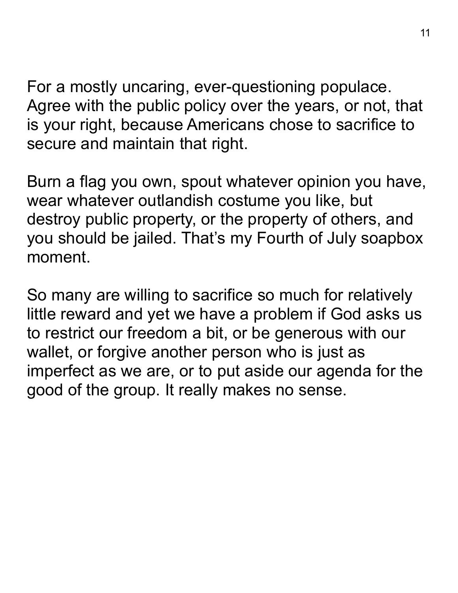For a mostly uncaring, ever-questioning populace. Agree with the public policy over the years, or not, that is your right, because Americans chose to sacrifice to secure and maintain that right.

Burn a flag you own, spout whatever opinion you have, wear whatever outlandish costume you like, but destroy public property, or the property of others, and you should be jailed. That's my Fourth of July soapbox moment.

So many are willing to sacrifice so much for relatively little reward and yet we have a problem if God asks us to restrict our freedom a bit, or be generous with our wallet, or forgive another person who is just as imperfect as we are, or to put aside our agenda for the good of the group. It really makes no sense.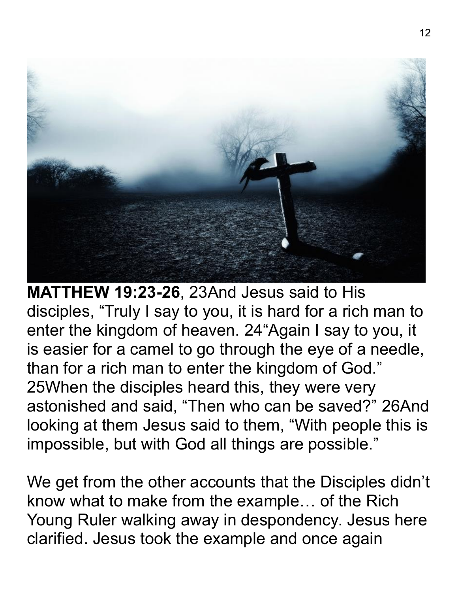

**MATTHEW 19:23-26**, 23And Jesus said to His disciples, "Truly I say to you, it is hard for a rich man to enter the kingdom of heaven. 24"Again I say to you, it is easier for a camel to go through the eye of a needle, than for a rich man to enter the kingdom of God." 25When the disciples heard this, they were very astonished and said, "Then who can be saved?" 26And looking at them Jesus said to them, "With people this is impossible, but with God all things are possible."

We get from the other accounts that the Disciples didn't know what to make from the example… of the Rich Young Ruler walking away in despondency. Jesus here clarified. Jesus took the example and once again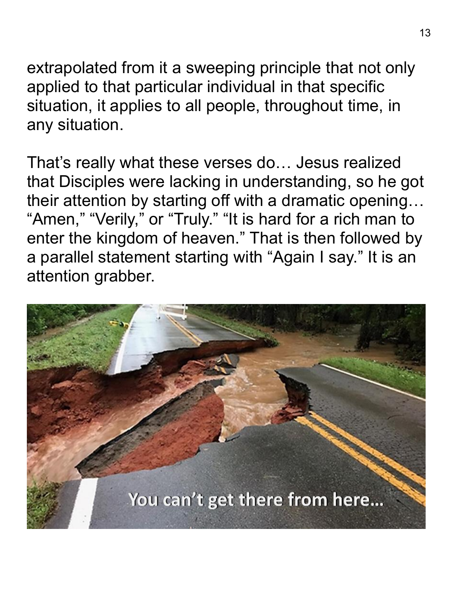extrapolated from it a sweeping principle that not only applied to that particular individual in that specific situation, it applies to all people, throughout time, in any situation.

That's really what these verses do… Jesus realized that Disciples were lacking in understanding, so he got their attention by starting off with a dramatic opening… "Amen," "Verily," or "Truly." "It is hard for a rich man to enter the kingdom of heaven." That is then followed by a parallel statement starting with "Again I say." It is an attention grabber.

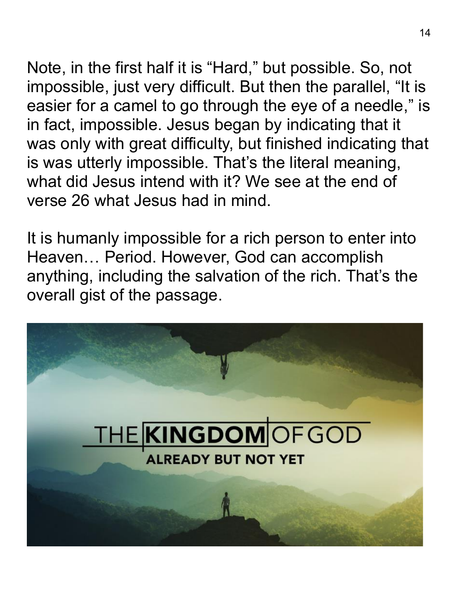Note, in the first half it is "Hard," but possible. So, not impossible, just very difficult. But then the parallel, "It is easier for a camel to go through the eye of a needle, " is in fact, impossible. Jesus began by indicating that it was only with great difficulty, but finished indicating that is was utterly impossible. That's the literal meaning, what did Jesus intend with it? We see at the end of verse 26 what Jesus had in mind.

It is humanly impossible for a rich person to enter into Heaven… Period. However, God can accomplish anything, including the salvation of the rich. That's the overall gist of the passage.

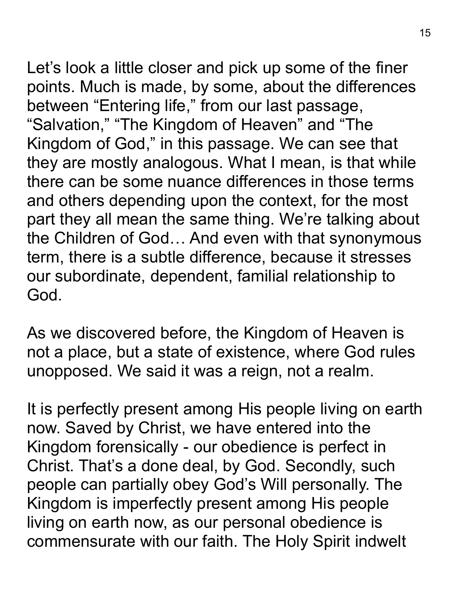Let's look a little closer and pick up some of the finer points. Much is made, by some, about the differences between "Entering life," from our last passage, "Salvation," "The Kingdom of Heaven" and "The Kingdom of God, " in this passage. We can see that they are mostly analogous. What I mean, is that while there can be some nuance differences in those terms and others depending upon the context, for the most part they all mean the same thing. We're talking about the Children of God… And even with that synonymous term, there is a subtle difference, because it stresses our subordinate, dependent, familial relationship to God.

As we discovered before, the Kingdom of Heaven is not a place, but a state of existence, where God rules unopposed. We said it was a reign, not a realm.

It is perfectly present among His people living on earth now. Saved by Christ, we have entered into the Kingdom forensically - our obedience is perfect in Christ. That's a done deal, by God. Secondly, such people can partially obey God's Will personally. The Kingdom is imperfectly present among His people living on earth now, as our personal obedience is commensurate with our faith. The Holy Spirit indwelt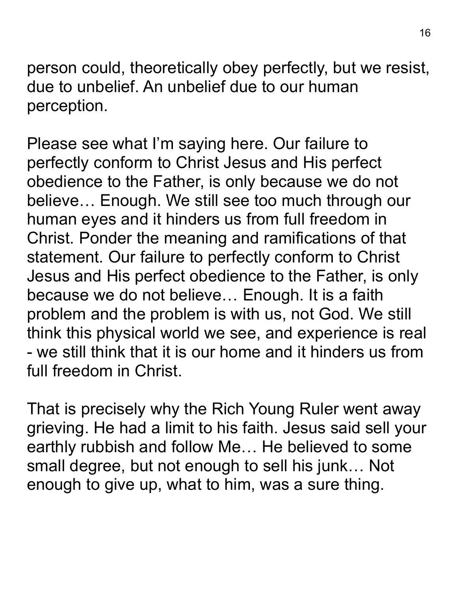person could, theoretically obey perfectly, but we resist, due to unbelief. An unbelief due to our human perception.

Please see what I'm saying here. Our failure to perfectly conform to Christ Jesus and His perfect obedience to the Father, is only because we do not believe… Enough. We still see too much through our human eyes and it hinders us from full freedom in Christ. Ponder the meaning and ramifications of that statement. Our failure to perfectly conform to Christ Jesus and His perfect obedience to the Father, is only because we do not believe… Enough. It is a faith problem and the problem is with us, not God. We still think this physical world we see, and experience is real - we still think that it is our home and it hinders us from full freedom in Christ.

That is precisely why the Rich Young Ruler went away grieving. He had a limit to his faith. Jesus said sell your earthly rubbish and follow Me… He believed to some small degree, but not enough to sell his junk… Not enough to give up, what to him, was a sure thing.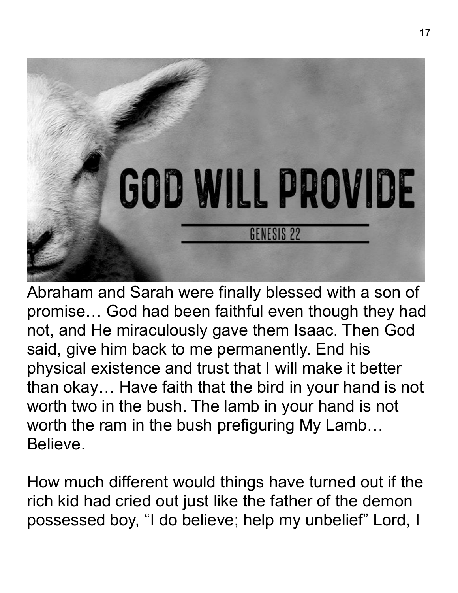

Abraham and Sarah were finally blessed with a son of promise… God had been faithful even though they had not, and He miraculously gave them Isaac. Then God said, give him back to me permanently. End his physical existence and trust that I will make it better than okay… Have faith that the bird in your hand is not worth two in the bush. The lamb in your hand is not worth the ram in the bush prefiguring My Lamb… Believe.

How much different would things have turned out if the rich kid had cried out just like the father of the demon possessed boy, "I do believe; help my unbelief" Lord, I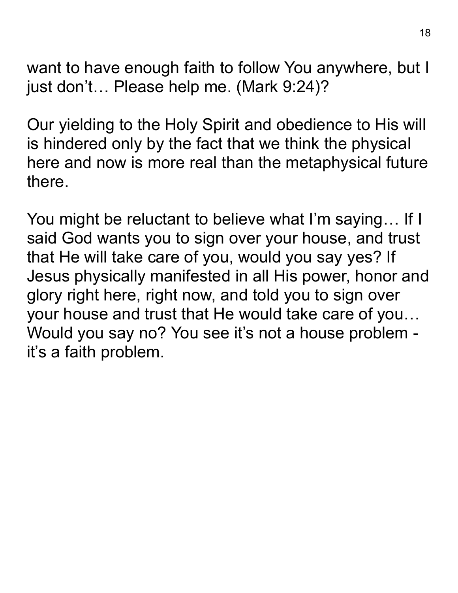want to have enough faith to follow You anywhere, but I just don't… Please help me. (Mark 9:24)?

Our yielding to the Holy Spirit and obedience to His will is hindered only by the fact that we think the physical here and now is more real than the metaphysical future there.

You might be reluctant to believe what I'm saying… If I said God wants you to sign over your house, and trust that He will take care of you, would you say yes? If Jesus physically manifested in all His power, honor and glory right here, right now, and told you to sign over your house and trust that He would take care of you… Would you say no? You see it's not a house problem it's a faith problem.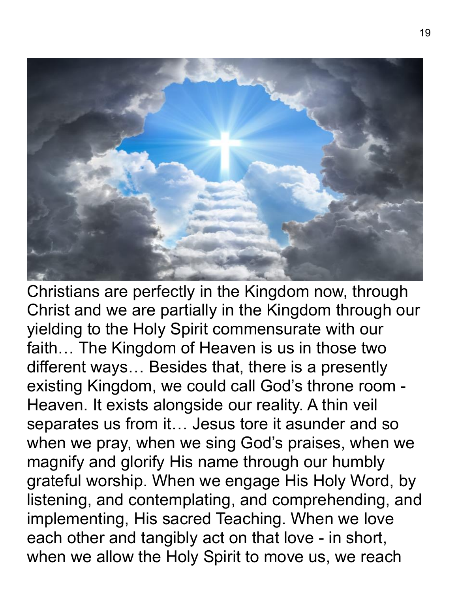

Christians are perfectly in the Kingdom now, through Christ and we are partially in the Kingdom through our yielding to the Holy Spirit commensurate with our faith… The Kingdom of Heaven is us in those two different ways… Besides that, there is a presently existing Kingdom, we could call God's throne room - Heaven. It exists alongside our reality. A thin veil separates us from it… Jesus tore it asunder and so when we pray, when we sing God's praises, when we magnify and glorify His name through our humbly grateful worship. When we engage His Holy Word, by listening, and contemplating, and comprehending, and implementing, His sacred Teaching. When we love each other and tangibly act on that love - in short, when we allow the Holy Spirit to move us, we reach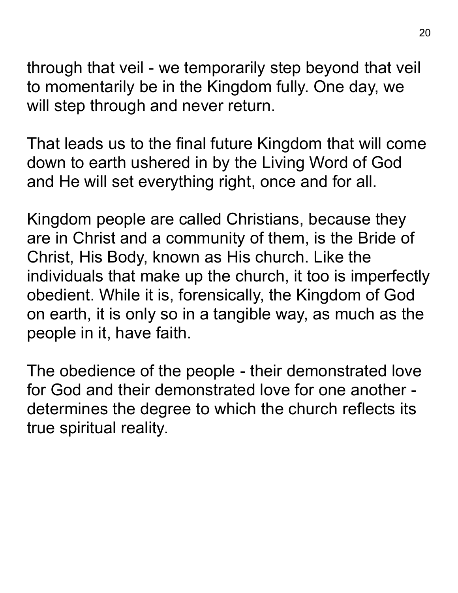through that veil - we temporarily step beyond that veil to momentarily be in the Kingdom fully. One day, we will step through and never return.

That leads us to the final future Kingdom that will come down to earth ushered in by the Living Word of God and He will set everything right, once and for all.

Kingdom people are called Christians, because they are in Christ and a community of them, is the Bride of Christ, His Body, known as His church. Like the individuals that make up the church, it too is imperfectly obedient. While it is, forensically, the Kingdom of God on earth, it is only so in a tangible way, as much as the people in it, have faith.

The obedience of the people - their demonstrated love for God and their demonstrated love for one another determines the degree to which the church reflects its true spiritual reality.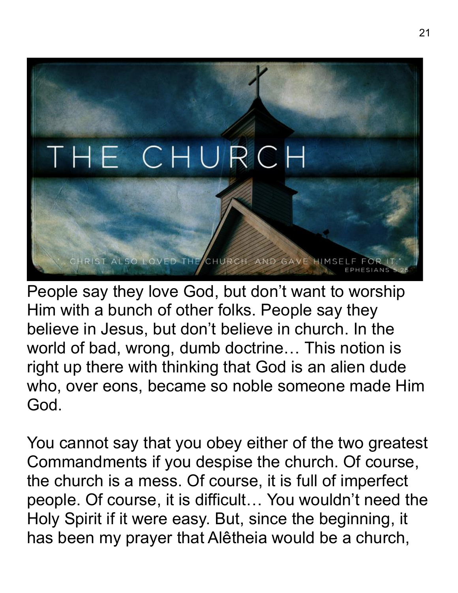

People say they love God, but don't want to worship Him with a bunch of other folks. People say they believe in Jesus, but don't believe in church. In the world of bad, wrong, dumb doctrine… This notion is right up there with thinking that God is an alien dude who, over eons, became so noble someone made Him God.

You cannot say that you obey either of the two greatest Commandments if you despise the church. Of course, the church is a mess. Of course, it is full of imperfect people. Of course, it is difficult… You wouldn't need the Holy Spirit if it were easy. But, since the beginning, it has been my prayer that Alêtheia would be a church,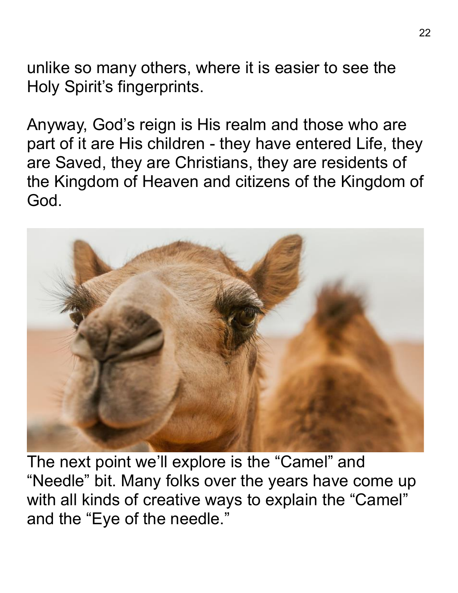unlike so many others, where it is easier to see the Holy Spirit's fingerprints.

Anyway, God's reign is His realm and those who are part of it are His children - they have entered Life, they are Saved, they are Christians, they are residents of the Kingdom of Heaven and citizens of the Kingdom of God.



The next point we'll explore is the "Camel" and "Needle" bit. Many folks over the years have come up with all kinds of creative ways to explain the "Camel" and the "Eye of the needle."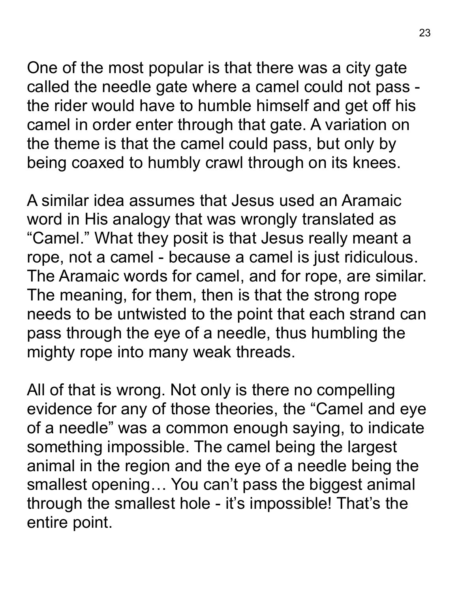One of the most popular is that there was a city gate called the needle gate where a camel could not pass the rider would have to humble himself and get off his camel in order enter through that gate. A variation on the theme is that the camel could pass, but only by being coaxed to humbly crawl through on its knees.

A similar idea assumes that Jesus used an Aramaic word in His analogy that was wrongly translated as "Camel." What they posit is that Jesus really meant a rope, not a camel - because a camel is just ridiculous. The Aramaic words for camel, and for rope, are similar. The meaning, for them, then is that the strong rope needs to be untwisted to the point that each strand can pass through the eye of a needle, thus humbling the mighty rope into many weak threads.

All of that is wrong. Not only is there no compelling evidence for any of those theories, the "Camel and eye of a needle" was a common enough saying, to indicate something impossible. The camel being the largest animal in the region and the eye of a needle being the smallest opening… You can't pass the biggest animal through the smallest hole - it's impossible! That's the entire point.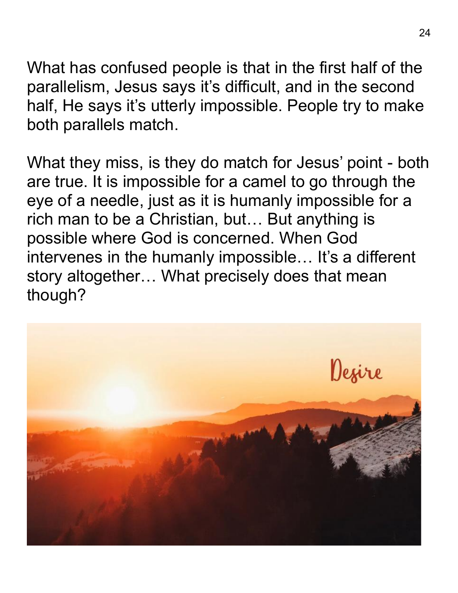What has confused people is that in the first half of the parallelism, Jesus says it's difficult, and in the second half, He says it's utterly impossible. People try to make both parallels match.

What they miss, is they do match for Jesus' point - both are true. It is impossible for a camel to go through the eye of a needle, just as it is humanly impossible for a rich man to be a Christian, but… But anything is possible where God is concerned. When God intervenes in the humanly impossible... It's a different story altogether… What precisely does that mean though?

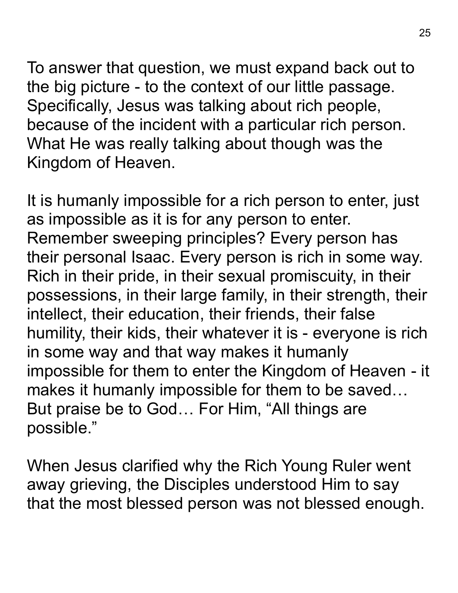To answer that question, we must expand back out to the big picture - to the context of our little passage. Specifically, Jesus was talking about rich people, because of the incident with a particular rich person. What He was really talking about though was the Kingdom of Heaven.

It is humanly impossible for a rich person to enter, just as impossible as it is for any person to enter. Remember sweeping principles? Every person has their personal Isaac. Every person is rich in some way. Rich in their pride, in their sexual promiscuity, in their possessions, in their large family, in their strength, their intellect, their education, their friends, their false humility, their kids, their whatever it is - everyone is rich in some way and that way makes it humanly impossible for them to enter the Kingdom of Heaven - it makes it humanly impossible for them to be saved… But praise be to God… For Him, "All things are possible."

When Jesus clarified why the Rich Young Ruler went away grieving, the Disciples understood Him to say that the most blessed person was not blessed enough.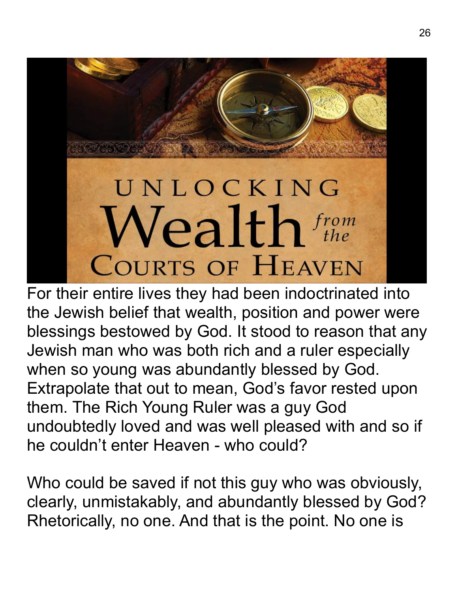## UNLOCKING  $\mathcal{N}$ ealth $f_{the}^{from}$ **COURTS OF HEAVEN**

For their entire lives they had been indoctrinated into the Jewish belief that wealth, position and power were blessings bestowed by God. It stood to reason that any Jewish man who was both rich and a ruler especially when so young was abundantly blessed by God. Extrapolate that out to mean, God's favor rested upon them. The Rich Young Ruler was a guy God undoubtedly loved and was well pleased with and so if he couldn't enter Heaven - who could?

Who could be saved if not this guy who was obviously, clearly, unmistakably, and abundantly blessed by God? Rhetorically, no one. And that is the point. No one is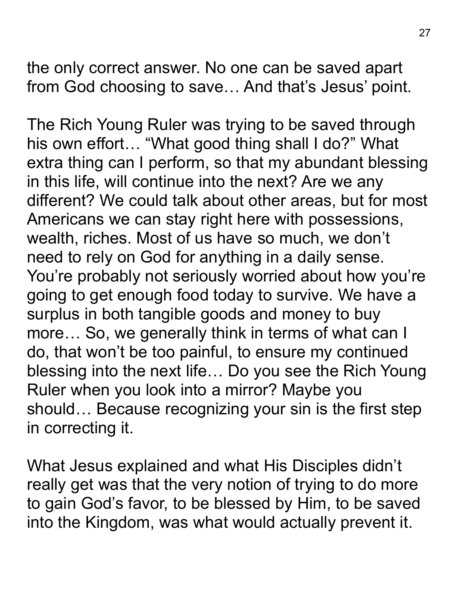the only correct answer. No one can be saved apart from God choosing to save… And that's Jesus' point.

The Rich Young Ruler was trying to be saved through his own effort… "What good thing shall I do?" What extra thing can I perform, so that my abundant blessing in this life, will continue into the next? Are we any different? We could talk about other areas, but for most Americans we can stay right here with possessions, wealth, riches. Most of us have so much, we don't need to rely on God for anything in a daily sense. You're probably not seriously worried about how you're going to get enough food today to survive. We have a surplus in both tangible goods and money to buy more… So, we generally think in terms of what can I do, that won't be too painful, to ensure my continued blessing into the next life… Do you see the Rich Young Ruler when you look into a mirror? Maybe you should… Because recognizing your sin is the first step in correcting it.

What Jesus explained and what His Disciples didn't really get was that the very notion of trying to do more to gain God's favor, to be blessed by Him, to be saved into the Kingdom, was what would actually prevent it.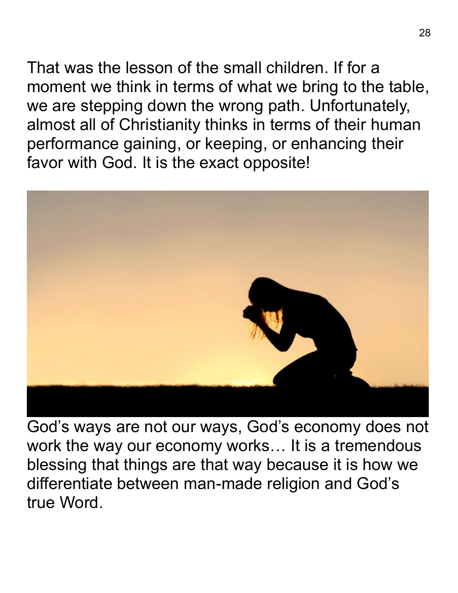That was the lesson of the small children. If for a moment we think in terms of what we bring to the table, we are stepping down the wrong path. Unfortunately, almost all of Christianity thinks in terms of their human performance gaining, or keeping, or enhancing their favor with God. It is the exact opposite!



God's ways are not our ways, God's economy does not work the way our economy works… It is a tremendous blessing that things are that way because it is how we differentiate between man-made religion and God's true Word.